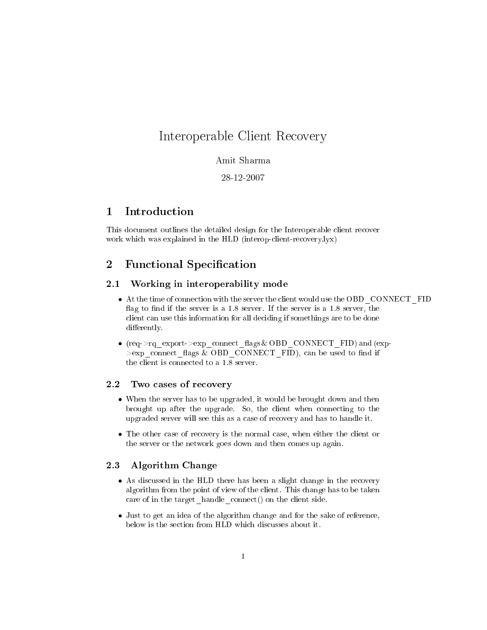# Interoperable Client Recovery

### Amit Sharma

### 28-12-2007

### Introduction  $\mathbf{1}$

This document outlines the detailed design for the Interoperable client recover work which was explained in the HLD (interop-client-recovery.lyx)

### $\overline{2}$ Functional Specification

### 2.1 Working in interoperability mode

- At the time of connection with the server the client would use the OBD\_CONNECT\_FID flag to find if the server is a  $1.8$  server. If the server is a  $1.8$  server, the client can use this information for all deciding if somethings are to be done differently.
- (req->rq\_export->exp\_connect\_flags & OBD\_CONNECT\_FID) and (exp- $>$ exp\_connect\_flags & OBD\_CONNECT\_FID), can be used to find if the client is connected to a 1.8 server.

#### $2.2$ Two cases of recovery

- When the server has to be upgraded, it would be brought down and then brought up after the upgrade. So, the client when connecting to the upgraded server will see this as a case of recovery and has to handle it.
- The other case of recovery is the normal case, when either the client or the server or the network goes down and then comes up again.

#### 2.3 Algorithm Change

- As discussed in the HLD there has been a slight change in the recovery algorithm from the point of view of the client. This change has to be taken care of in the target\_handle\_connect() on the client side.
- Just to get an idea of the algorithm change and for the sake of reference, below is the section from HLD which discusses about it.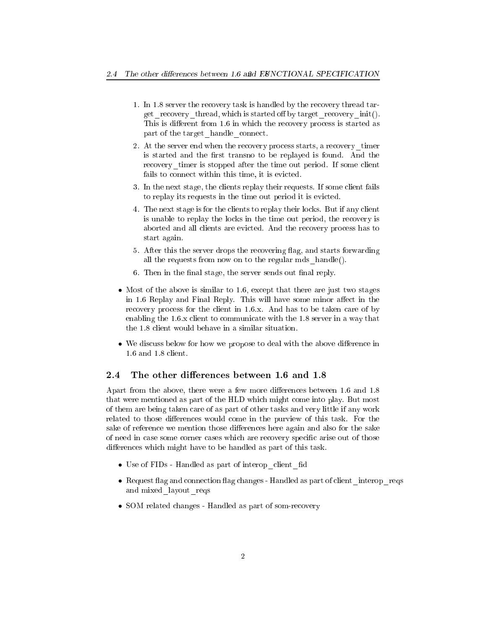- 1. In 1.8 server the recovery task is handled by the recovery thread target recovery thread, which is started off by target recovery init(). This is different from 1.6 in which the recovery process is started as part of the target\_handle\_connect.
- 2. At the server end when the recovery process starts, a recovery timer is started and the first transno to be replayed is found. And the recovery timer is stopped after the time out period. If some client fails to connect within this time, it is evicted.
- 3. In the next stage, the clients replay their requests. If some client fails to replay its requests in the time out period it is evicted.
- 4. The next stage is for the clients to replay their locks. But if any client is unable to replay the locks in the time out period, the recovery is aborted and all clients are evicted. And the recovery process has to start again.
- 5. After this the server drops the recovering flag, and starts forwarding all the requests from now on to the regular mds\_handle().
- 6. Then in the final stage, the server sends out final reply.
- Most of the above is similar to 1.6, except that there are just two stages in 1.6 Replay and Final Reply. This will have some minor affect in the recovery process for the client in 1.6.x. And has to be taken care of by enabling the 1.6.x client to communicate with the 1.8 server in a way that the 1.8 client would behave in a similar situation.
- We discuss below for how we propose to deal with the above difference in 1.6 and 1.8 client.

## 2.4 The other differences between 1.6 and 1.8

Apart from the above, there were a few more differences between 1.6 and 1.8 that were mentioned as part of the HLD which might come into play. But most of them are being taken care of as part of other tasks and very little if any work related to those differences would come in the purview of this task. For the sake of reference we mention those differences here again and also for the sake of need in case some corner cases which are recovery specific arise out of those differences which might have to be handled as part of this task.

- Use of FIDs Handled as part of interop client fid
- Request flag and connection flag changes Handled as part of client interop reqs and mixed\_layout\_reqs
- SOM related changes Handled as part of som-recovery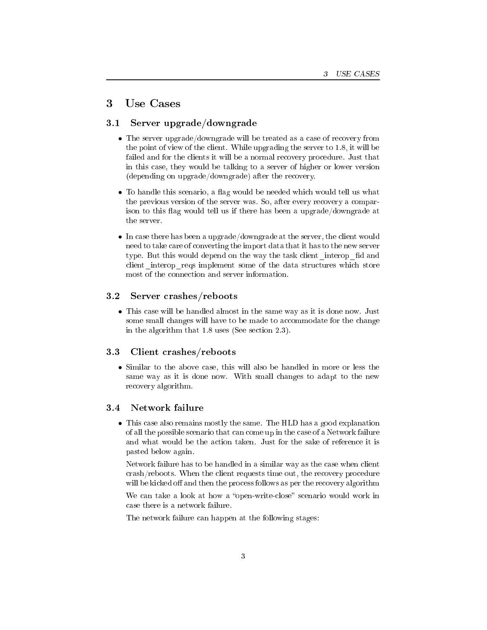### 3 Use Cases

## 3.1 Server upgrade/downgrade

- The server upgrade/downgrade will be treated as a case of recovery from the point of view of the client. While upgrading the server to 1.8, it will be failed and for the clients it will be a normal recovery procedure. Just that in this case, they would be talking to a server of higher or lower version (depending on upgrade/downgrade) after the recovery.
- $\bullet$  To handle this scenario, a flag would be needed which would tell us what the previous version of the server was. So, after every recovery a comparison to this flag would tell us if there has been a upgrade/downgrade at the server.
- In case there has been a upgrade/downgrade at the server, the client would need to take care of converting the import data that it has to the new server type. But this would depend on the way the task client interop fid and client interop reqs implement some of the data structures which store most of the connection and server information.

### 3.2 Server crashes/reboots

• This case will be handled almost in the same way as it is done now. Just some small changes will have to be made to accommodate for the change in the algorithm that 1.8 uses (See section 2.3).

#### 3.3 Client crashes/reboots

• Similar to the above case, this will also be handled in more or less the same way as it is done now. With small changes to adapt to the new recovery algorithm.

### 3.4 Network failure

• This case also remains mostly the same. The HLD has a good explanation of all the possible scenario that can come up in the case of a Network failure and what would be the action taken. Just for the sake of reference it is pasted below again.

Network failure has to be handled in a similar way as the case when client crash/reboots. When the client requests time out, the recovery procedure will be kicked off and then the process follows as per the recovery algorithm

We can take a look at how a "open-write-close" scenario would work in case there is a network failure.

The network failure can happen at the following stages: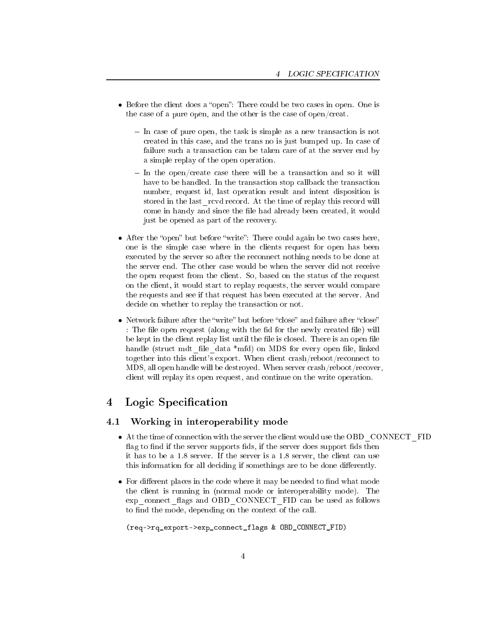- Before the client does a "open": There could be two cases in open. One is the case of a pure open, and the other is the case of open/creat.
	- In case of pure open, the task is simple as a new transaction is not created in this case, and the trans no is just bumped up. In case of failure such a transaction can be taken care of at the server end by a simple replay of the open operation.
	- $\overline{a}$  In the open/create case there will be a transaction and so it will have to be handled. In the transaction stop callback the transaction number, request id, last operation result and intent disposition is stored in the last\_rcvd record. At the time of replay this record will come in handy and since the file had already been created, it would just be opened as part of the recovery.
- After the "open" but before "write": There could again be two cases here, one is the simple case where in the clients request for open has been executed by the server so after the reconnect nothing needs to be done at the server end. The other case would be when the server did not receive the open request from the client. So, based on the status of the request on the client, it would start to replay requests, the server would compare the requests and see if that request has been executed at the server. And decide on whether to replay the transaction or not.
- Network failure after the "write" but before "close" and failure after "close" : The file open request (along with the fid for the newly created file) will be kept in the client replay list until the file is closed. There is an open file handle (struct mdt file data \*mfd) on MDS for every open file, linked together into this client's export. When client crash/reboot/reconnect to MDS, all open handle will be destroyed. When server crash/reboot/recover, client will replay its open request, and continue on the write operation.

### 4Logic Specification

#### Working in interoperability mode  $4.1$

- At the time of connection with the server the client would use the OBD\_CONNECT\_FID flag to find if the server supports fids, if the server does support fids then it has to be a 1.8 server. If the server is a 1.8 server, the client can use this information for all deciding if somethings are to be done differently.
- For different places in the code where it may be needed to find what mode the client is running in (normal mode or interoperability mode). The exp\_connect\_flags and OBD\_CONNECT\_FID can be used as follows to find the mode, depending on the context of the call.

(req->rq\_export->exp\_connect\_flags & OBD\_CONNECT\_FID)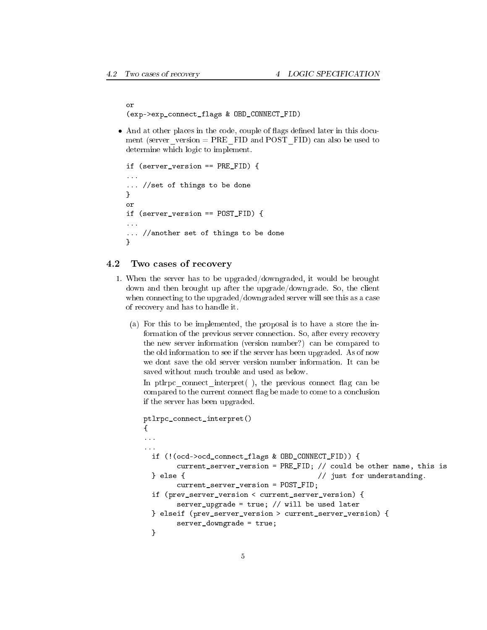```
or
(exp->exp_connect_flags & OBD_CONNECT_FID)
```
• And at other places in the code, couple of flags defined later in this document (server version = PRE FID and POST FID) can also be used to determine which logic to implement.

```
if (server_version == PRE_FID) {
... //set of things to be done
<sup>}</sup>
}
\alpha rif (server_version == POST_FID) {
...
... //another set of things to be done
\mathcal{F}}
```
#### 4.2 Two cases of recovery

- 1. When the server has to be upgraded/downgraded, it would be brought down and then brought up after the upgrade/downgrade. So, the client when connecting to the upgraded/downgraded server will see this as a case of recovery and has to handle it.
	- (a) For this to be implemented, the proposal is to have a store the information of the previous server connection. So, after every recovery the new server information (version number?) can be compared to the old information to see if the server has been upgraded. As of now we dont save the old server version number information. It can be saved without much trouble and used as below.

In ptlrpc\_connect\_interpret(), the previous connect flag can be compared to the current connect flag be made to come to a conclusion if the server has been upgraded.

```
ptlrpc_connect_interpret()
{
...
...
 if (!(ocd->ocd_connect_flags & OBD_CONNECT_FID)) {
       current server version = PRE FID; // could be other name, this is
 } else { // just for understanding.
       current server version = POST FID;
 if (prev_server_version < current_server_version) {
       server_upgrade = true; // will be used later
  } elseif (prev_server_version > current_server_version) {
       server_downgrade = true;
  }
```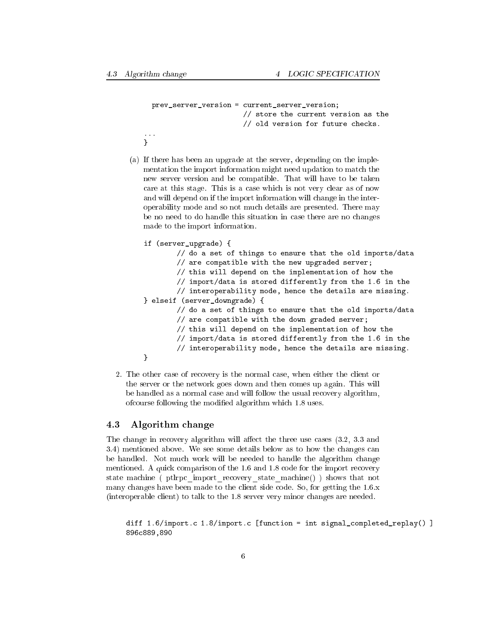```
prev_server_version = current_server_version;
                        // store the current version as the
                        // old version for future checks.
...
}
```
(a) If there has been an upgrade at the server, depending on the implementation the import information might need updation to match the new server version and be compatible. That will have to be taken care at this stage. This is a case which is not very clear as of now and will depend on if the import information will change in the interoperability mode and so not much details are presented. There may be no need to do handle this situation in case there are no changes made to the import information.

### if (server\_upgrade) {

```
// do a set of things to ensure that the old imports/data
        // are compatible with the new upgraded server;
        // this will depend on the implementation of how the
        // import/data is stored differently from the 1.6 in the
        // interoperability mode, hence the details are missing.
} elseif (server_downgrade) {
        // do a set of things to ensure that the old imports/data
        // are compatible with the down graded server;
        // this will depend on the implementation of how the
        // import/data is stored differently from the 1.6 in the
        // interoperability mode, hence the details are missing.
```
2. The other case of recovery is the normal case, when either the client or the server or the network goes down and then comes up again. This will be handled as a normal case and will follow the usual recovery algorithm, of course following the modified algorithm which 1.8 uses.

### 4.3 Algorithm change

}

The change in recovery algorithm will affect the three use cases  $(3.2, 3.3, 3.3)$ 3.4) mentioned above. We see some details below as to how the changes can be handled. Not much work will be needed to handle the algorithm change mentioned. A quick comparison of the 1.6 and 1.8 code for the import recovery state machine ( ptlrpc\_import\_recovery\_state\_machine() ) shows that not many changes have been made to the client side code. So, for getting the 1.6.x (interoperable client) to talk to the 1.8 server very minor changes are needed.

```
diff 1.6/import.c 1.8/import.c [function = int signal_completed_replay() ]
896c889,890
```